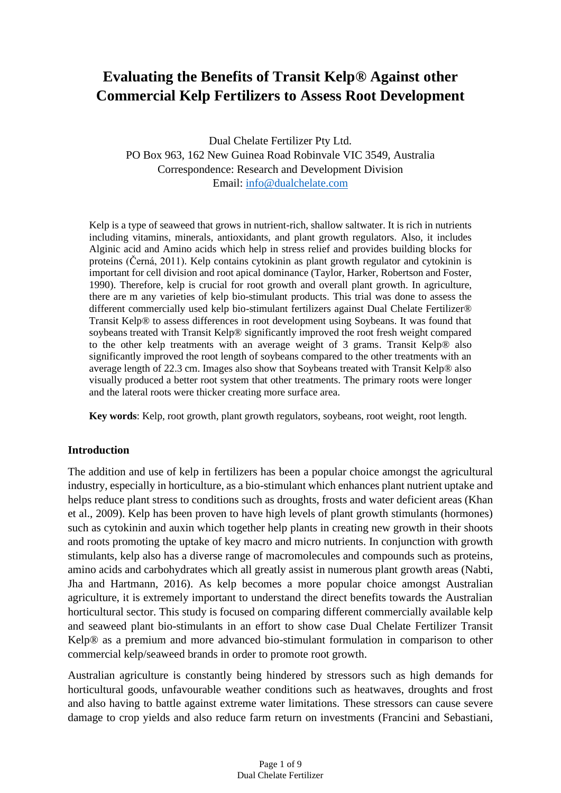# **Evaluating the Benefits of Transit Kelp® Against other Commercial Kelp Fertilizers to Assess Root Development**

Dual Chelate Fertilizer Pty Ltd. PO Box 963, 162 New Guinea Road Robinvale VIC 3549, Australia Correspondence: Research and Development Division Email: [info@dualchelate.com](mailto:info@dualchelate.com)

Kelp is a type of seaweed that grows in nutrient-rich, shallow saltwater. It is rich in nutrients including vitamins, minerals, antioxidants, and plant growth regulators. Also, it includes Alginic acid and Amino acids which help in stress relief and provides building blocks for proteins (Černá, 2011). Kelp contains cytokinin as plant growth regulator and cytokinin is important for cell division and root apical dominance (Taylor, Harker, Robertson and Foster, 1990). Therefore, kelp is crucial for root growth and overall plant growth. In agriculture, there are m any varieties of kelp bio-stimulant products. This trial was done to assess the different commercially used kelp bio-stimulant fertilizers against Dual Chelate Fertilizer® Transit Kelp® to assess differences in root development using Soybeans. It was found that soybeans treated with Transit Kelp® significantly improved the root fresh weight compared to the other kelp treatments with an average weight of 3 grams. Transit Kelp® also significantly improved the root length of soybeans compared to the other treatments with an average length of 22.3 cm. Images also show that Soybeans treated with Transit Kelp® also visually produced a better root system that other treatments. The primary roots were longer and the lateral roots were thicker creating more surface area.

**Key words**: Kelp, root growth, plant growth regulators, soybeans, root weight, root length.

## **Introduction**

The addition and use of kelp in fertilizers has been a popular choice amongst the agricultural industry, especially in horticulture, as a bio-stimulant which enhances plant nutrient uptake and helps reduce plant stress to conditions such as droughts, frosts and water deficient areas (Khan et al., 2009). Kelp has been proven to have high levels of plant growth stimulants (hormones) such as cytokinin and auxin which together help plants in creating new growth in their shoots and roots promoting the uptake of key macro and micro nutrients. In conjunction with growth stimulants, kelp also has a diverse range of macromolecules and compounds such as proteins, amino acids and carbohydrates which all greatly assist in numerous plant growth areas (Nabti, Jha and Hartmann, 2016). As kelp becomes a more popular choice amongst Australian agriculture, it is extremely important to understand the direct benefits towards the Australian horticultural sector. This study is focused on comparing different commercially available kelp and seaweed plant bio-stimulants in an effort to show case Dual Chelate Fertilizer Transit Kelp® as a premium and more advanced bio-stimulant formulation in comparison to other commercial kelp/seaweed brands in order to promote root growth.

Australian agriculture is constantly being hindered by stressors such as high demands for horticultural goods, unfavourable weather conditions such as heatwaves, droughts and frost and also having to battle against extreme water limitations. These stressors can cause severe damage to crop yields and also reduce farm return on investments (Francini and Sebastiani,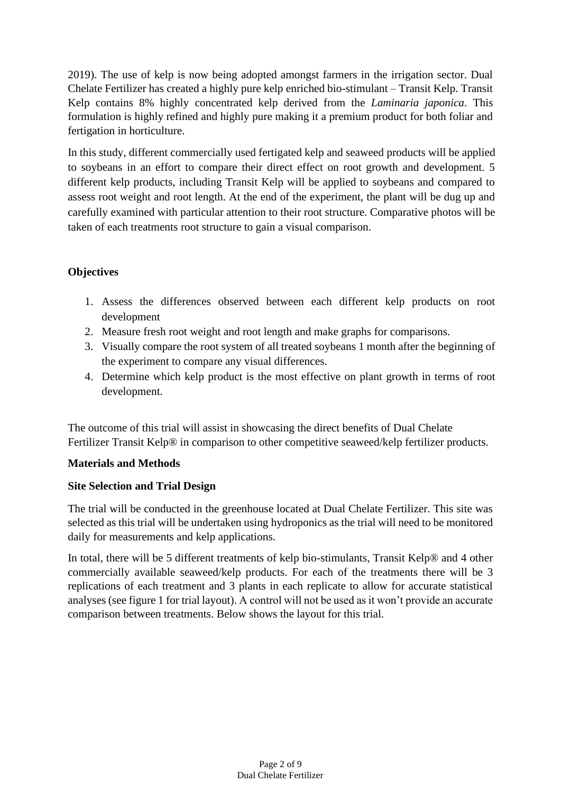2019). The use of kelp is now being adopted amongst farmers in the irrigation sector. Dual Chelate Fertilizer has created a highly pure kelp enriched bio-stimulant – Transit Kelp. Transit Kelp contains 8% highly concentrated kelp derived from the *Laminaria japonica*. This formulation is highly refined and highly pure making it a premium product for both foliar and fertigation in horticulture.

In this study, different commercially used fertigated kelp and seaweed products will be applied to soybeans in an effort to compare their direct effect on root growth and development. 5 different kelp products, including Transit Kelp will be applied to soybeans and compared to assess root weight and root length. At the end of the experiment, the plant will be dug up and carefully examined with particular attention to their root structure. Comparative photos will be taken of each treatments root structure to gain a visual comparison.

# **Objectives**

- 1. Assess the differences observed between each different kelp products on root development
- 2. Measure fresh root weight and root length and make graphs for comparisons.
- 3. Visually compare the root system of all treated soybeans 1 month after the beginning of the experiment to compare any visual differences.
- 4. Determine which kelp product is the most effective on plant growth in terms of root development.

The outcome of this trial will assist in showcasing the direct benefits of Dual Chelate Fertilizer Transit Kelp® in comparison to other competitive seaweed/kelp fertilizer products.

# **Materials and Methods**

# **Site Selection and Trial Design**

The trial will be conducted in the greenhouse located at Dual Chelate Fertilizer. This site was selected as this trial will be undertaken using hydroponics as the trial will need to be monitored daily for measurements and kelp applications.

In total, there will be 5 different treatments of kelp bio-stimulants, Transit Kelp® and 4 other commercially available seaweed/kelp products. For each of the treatments there will be 3 replications of each treatment and 3 plants in each replicate to allow for accurate statistical analyses (see figure 1 for trial layout). A control will not be used as it won't provide an accurate comparison between treatments. Below shows the layout for this trial.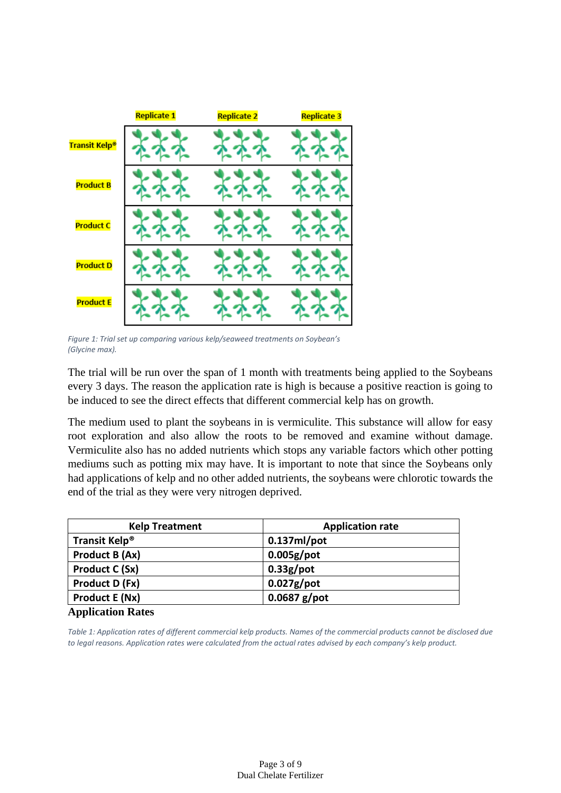

*Figure 1: Trial set up comparing various kelp/seaweed treatments on Soybean's (Glycine max).*

The trial will be run over the span of 1 month with treatments being applied to the Soybeans every 3 days. The reason the application rate is high is because a positive reaction is going to be induced to see the direct effects that different commercial kelp has on growth.

The medium used to plant the soybeans in is vermiculite. This substance will allow for easy root exploration and also allow the roots to be removed and examine without damage. Vermiculite also has no added nutrients which stops any variable factors which other potting mediums such as potting mix may have. It is important to note that since the Soybeans only had applications of kelp and no other added nutrients, the soybeans were chlorotic towards the end of the trial as they were very nitrogen deprived.

| <b>Kelp Treatment</b>                                   | <b>Application rate</b> |
|---------------------------------------------------------|-------------------------|
| Transit Kelp <sup>®</sup>                               | $0.137ml$ /pot          |
| Product B (Ax)                                          | $0.005g$ /pot           |
| <b>Product C (Sx)</b>                                   | $0.33g$ /pot            |
| Product D (Fx)                                          | $0.027g$ /pot           |
| <b>Product E (Nx)</b>                                   | $0.0687$ g/pot          |
| $\mathbf{A}$ and $\mathbf{B}$ are a set of $\mathbf{B}$ |                         |

#### **Application Rates**

*Table 1: Application rates of different commercial kelp products. Names of the commercial products cannot be disclosed due to legal reasons. Application rates were calculated from the actual rates advised by each company's kelp product.*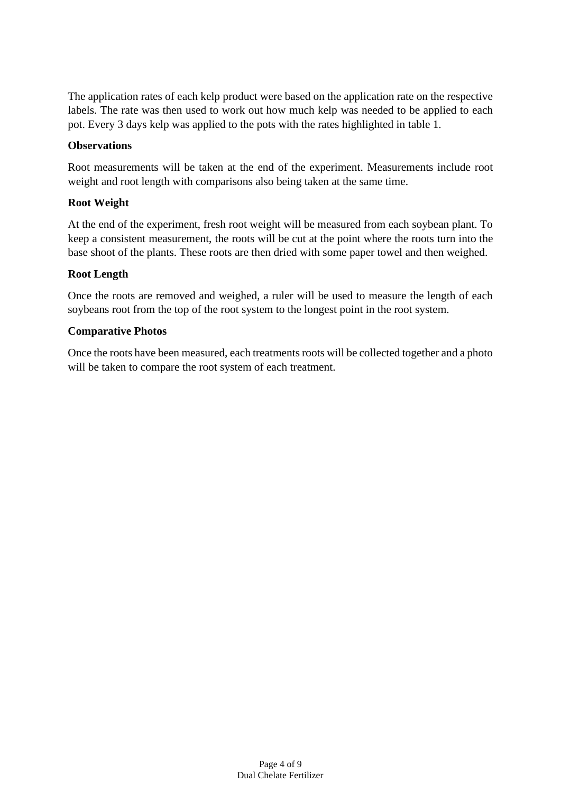The application rates of each kelp product were based on the application rate on the respective labels. The rate was then used to work out how much kelp was needed to be applied to each pot. Every 3 days kelp was applied to the pots with the rates highlighted in table 1.

### **Observations**

Root measurements will be taken at the end of the experiment. Measurements include root weight and root length with comparisons also being taken at the same time.

#### **Root Weight**

At the end of the experiment, fresh root weight will be measured from each soybean plant. To keep a consistent measurement, the roots will be cut at the point where the roots turn into the base shoot of the plants. These roots are then dried with some paper towel and then weighed.

#### **Root Length**

Once the roots are removed and weighed, a ruler will be used to measure the length of each soybeans root from the top of the root system to the longest point in the root system.

#### **Comparative Photos**

Once the roots have been measured, each treatments roots will be collected together and a photo will be taken to compare the root system of each treatment.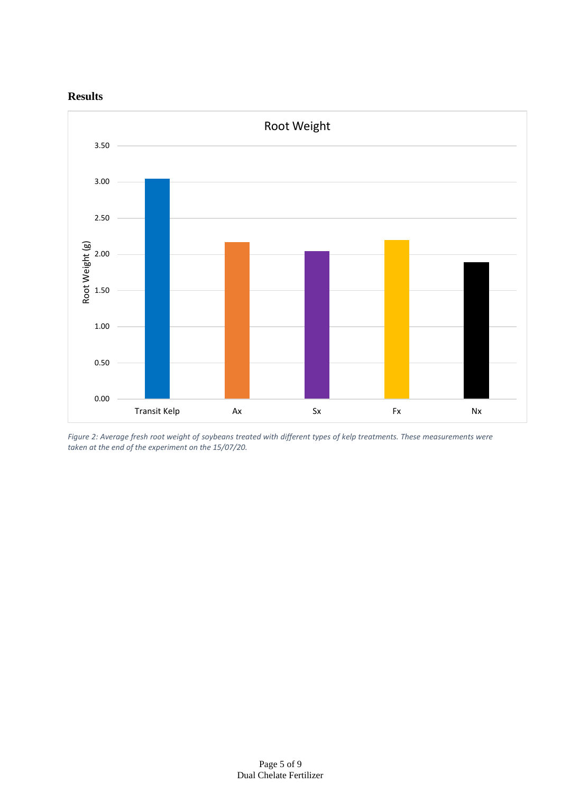



*Figure 2: Average fresh root weight of soybeans treated with different types of kelp treatments. These measurements were taken at the end of the experiment on the 15/07/20.*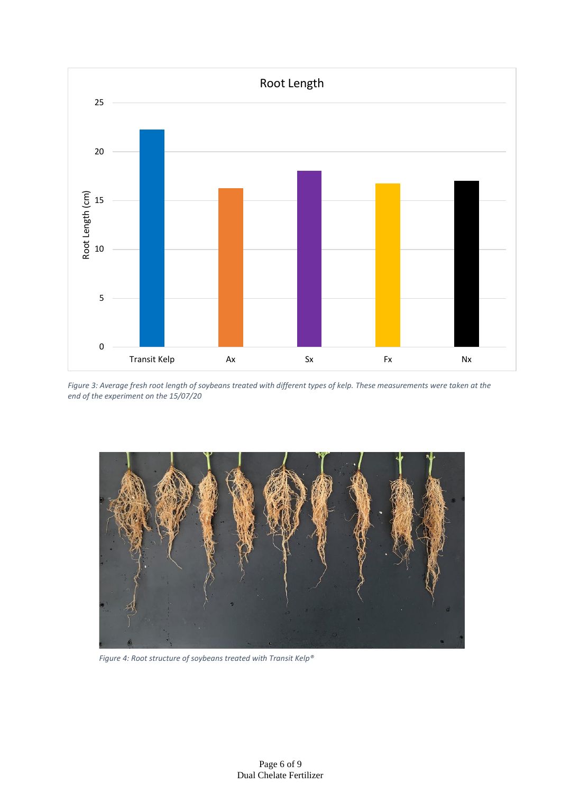

*Figure 3: Average fresh root length of soybeans treated with different types of kelp. These measurements were taken at the end of the experiment on the 15/07/20*



*Figure 4: Root structure of soybeans treated with Transit Kelp®*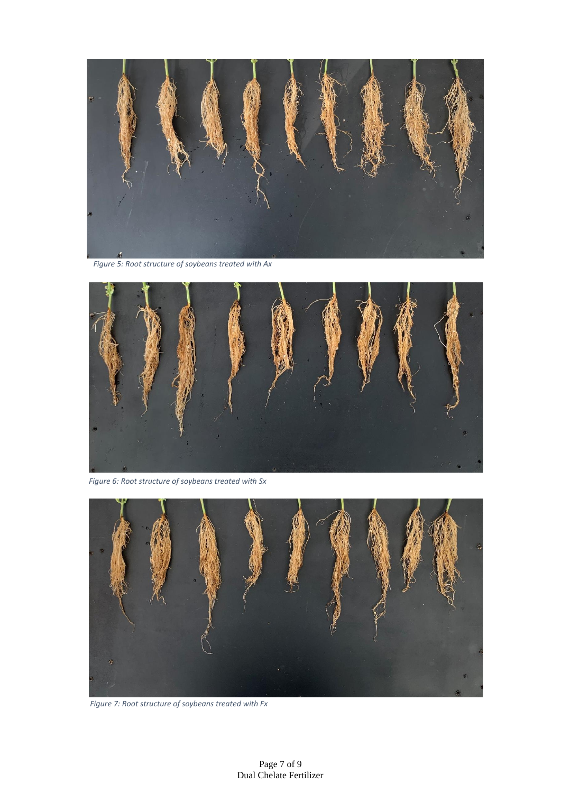

*Figure 5: Root structure of soybeans treated with Ax* 



*Figure 6: Root structure of soybeans treated with Sx* 



*Figure 7: Root structure of soybeans treated with Fx*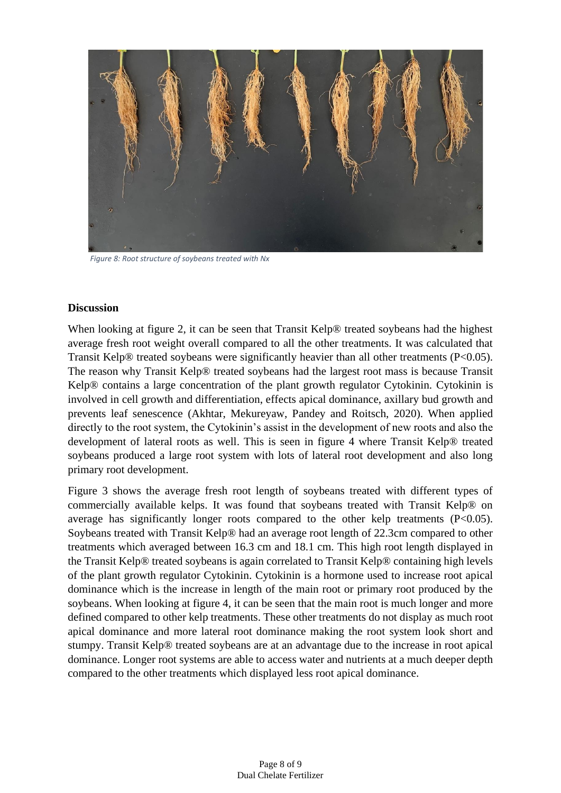

*Figure 8: Root structure of soybeans treated with Nx*

#### **Discussion**

When looking at figure 2, it can be seen that Transit Kelp® treated soybeans had the highest average fresh root weight overall compared to all the other treatments. It was calculated that Transit Kelp® treated soybeans were significantly heavier than all other treatments (P<0.05). The reason why Transit Kelp® treated soybeans had the largest root mass is because Transit Kelp® contains a large concentration of the plant growth regulator Cytokinin. Cytokinin is involved in cell growth and differentiation, effects apical dominance, axillary bud growth and prevents leaf senescence (Akhtar, Mekureyaw, Pandey and Roitsch, 2020). When applied directly to the root system, the Cytokinin's assist in the development of new roots and also the development of lateral roots as well. This is seen in figure 4 where Transit Kelp® treated soybeans produced a large root system with lots of lateral root development and also long primary root development.

Figure 3 shows the average fresh root length of soybeans treated with different types of commercially available kelps. It was found that soybeans treated with Transit Kelp® on average has significantly longer roots compared to the other kelp treatments (P<0.05). Soybeans treated with Transit Kelp® had an average root length of 22.3cm compared to other treatments which averaged between 16.3 cm and 18.1 cm. This high root length displayed in the Transit Kelp® treated soybeans is again correlated to Transit Kelp® containing high levels of the plant growth regulator Cytokinin. Cytokinin is a hormone used to increase root apical dominance which is the increase in length of the main root or primary root produced by the soybeans. When looking at figure 4, it can be seen that the main root is much longer and more defined compared to other kelp treatments. These other treatments do not display as much root apical dominance and more lateral root dominance making the root system look short and stumpy. Transit Kelp® treated soybeans are at an advantage due to the increase in root apical dominance. Longer root systems are able to access water and nutrients at a much deeper depth compared to the other treatments which displayed less root apical dominance.